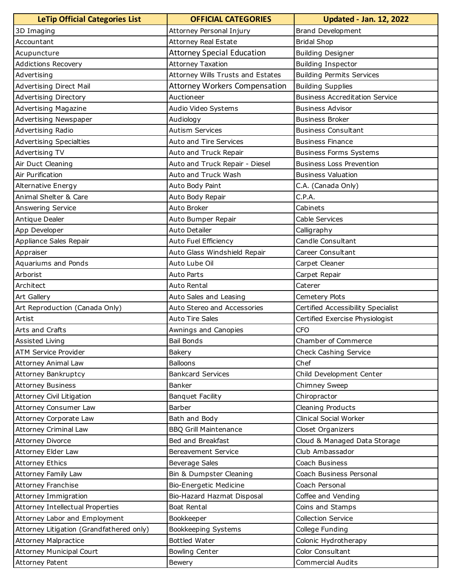| <b>LeTip Official Categories List</b>    | <b>OFFICIAL CATEGORIES</b>           | <b>Updated - Jan. 12, 2022</b>        |  |
|------------------------------------------|--------------------------------------|---------------------------------------|--|
| 3D Imaging                               | Attorney Personal Injury             | Brand Development                     |  |
| Accountant                               | <b>Attorney Real Estate</b>          | <b>Bridal Shop</b>                    |  |
| Acupuncture                              | <b>Attorney Special Education</b>    | <b>Building Designer</b>              |  |
| Addictions Recovery                      | <b>Attorney Taxation</b>             | <b>Building Inspector</b>             |  |
| Advertising                              | Attorney Wills Trusts and Estates    | <b>Building Permits Services</b>      |  |
| Advertising Direct Mail                  | <b>Attorney Workers Compensation</b> | <b>Building Supplies</b>              |  |
| Advertising Directory                    | Auctioneer                           | <b>Business Accreditation Service</b> |  |
| <b>Advertising Magazine</b>              | Audio Video Systems                  | <b>Business Advisor</b>               |  |
| Advertising Newspaper                    | Audiology                            | <b>Business Broker</b>                |  |
| Advertising Radio                        | <b>Autism Services</b>               | <b>Business Consultant</b>            |  |
| Advertising Specialties                  | <b>Auto and Tire Services</b>        | <b>Business Finance</b>               |  |
| Advertising TV                           | Auto and Truck Repair                | <b>Business Forms Systems</b>         |  |
| Air Duct Cleaning                        | Auto and Truck Repair - Diesel       | <b>Business Loss Prevention</b>       |  |
| Air Purification                         | Auto and Truck Wash                  | <b>Business Valuation</b>             |  |
| <b>Alternative Energy</b>                | Auto Body Paint                      | C.A. (Canada Only)                    |  |
| Animal Shelter & Care                    | Auto Body Repair                     | C.P.A.                                |  |
| Answering Service                        | Auto Broker                          | Cabinets                              |  |
| Antique Dealer                           | Auto Bumper Repair                   | Cable Services                        |  |
| App Developer                            | Auto Detailer                        | Calligraphy                           |  |
| Appliance Sales Repair                   | Auto Fuel Efficiency                 | Candle Consultant                     |  |
| Appraiser                                | Auto Glass Windshield Repair         | Career Consultant                     |  |
| Aquariums and Ponds                      | Auto Lube Oil                        | Carpet Cleaner                        |  |
| Arborist                                 | <b>Auto Parts</b>                    | Carpet Repair                         |  |
| Architect                                | Auto Rental                          | Caterer                               |  |
| Art Gallery                              | Auto Sales and Leasing               | Cemetery Plots                        |  |
| Art Reproduction (Canada Only)           | Auto Stereo and Accessories          | Certified Accessibility Specialist    |  |
| Artist                                   | <b>Auto Tire Sales</b>               | Certified Exercise Physiologist       |  |
| Arts and Crafts                          | Awnings and Canopies                 | <b>CFO</b>                            |  |
| Assisted Living                          | <b>Bail Bonds</b>                    | Chamber of Commerce                   |  |
| ATM Service Provider                     | <b>Bakery</b>                        | Check Cashing Service                 |  |
| <b>Attorney Animal Law</b>               | <b>Balloons</b>                      | Chef                                  |  |
| Attorney Bankruptcy                      | <b>Bankcard Services</b>             | Child Development Center              |  |
| <b>Attorney Business</b>                 | Banker                               | Chimney Sweep                         |  |
| Attorney Civil Litigation                | Banquet Facility                     | Chiropractor                          |  |
| Attorney Consumer Law                    | Barber                               | Cleaning Products                     |  |
| Attorney Corporate Law                   | Bath and Body                        | Clinical Social Worker                |  |
| <b>Attorney Criminal Law</b>             | <b>BBQ Grill Maintenance</b>         | Closet Organizers                     |  |
| <b>Attorney Divorce</b>                  | Bed and Breakfast                    | Cloud & Managed Data Storage          |  |
| Attorney Elder Law                       | <b>Bereavement Service</b>           | Club Ambassador                       |  |
| <b>Attorney Ethics</b>                   | <b>Beverage Sales</b>                | Coach Business                        |  |
| <b>Attorney Family Law</b>               | Bin & Dumpster Cleaning              | Coach Business Personal               |  |
| <b>Attorney Franchise</b>                | Bio-Energetic Medicine               | Coach Personal                        |  |
| Attorney Immigration                     | Bio-Hazard Hazmat Disposal           | Coffee and Vending                    |  |
| Attorney Intellectual Properties         | Boat Rental                          | Coins and Stamps                      |  |
| Attorney Labor and Employment            | Bookkeeper                           | Collection Service                    |  |
| Attorney Litigation (Grandfathered only) | Bookkeeping Systems                  | College Funding                       |  |
| <b>Attorney Malpractice</b>              | <b>Bottled Water</b>                 | Colonic Hydrotherapy                  |  |
| <b>Attorney Municipal Court</b>          | <b>Bowling Center</b>                | Color Consultant                      |  |
| Attorney Patent                          | Bewery                               | <b>Commercial Audits</b>              |  |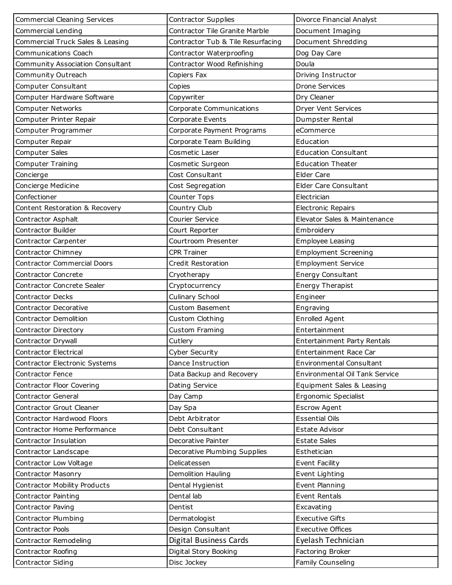| <b>Commercial Cleaning Services</b> | Contractor Supplies               | Divorce Financial Analyst             |  |
|-------------------------------------|-----------------------------------|---------------------------------------|--|
| Commercial Lending                  | Contractor Tile Granite Marble    | Document Imaging                      |  |
| Commercial Truck Sales & Leasing    | Contractor Tub & Tile Resurfacing | Document Shredding                    |  |
| <b>Communications Coach</b>         | Contractor Waterproofing          | Dog Day Care                          |  |
| Community Association Consultant    | Contractor Wood Refinishing       | Doula                                 |  |
| Community Outreach                  | Copiers Fax                       | Driving Instructor                    |  |
| Computer Consultant                 | Copies                            | <b>Drone Services</b>                 |  |
| Computer Hardware Software          | Copywriter                        | Dry Cleaner                           |  |
| <b>Computer Networks</b>            | Corporate Communications          | <b>Dryer Vent Services</b>            |  |
| Computer Printer Repair             | Corporate Events                  | Dumpster Rental                       |  |
| Computer Programmer                 | Corporate Payment Programs        | eCommerce                             |  |
| Computer Repair                     | Corporate Team Building           | Education                             |  |
| Computer Sales                      | Cosmetic Laser                    | <b>Education Consultant</b>           |  |
| Computer Training                   | Cosmetic Surgeon                  | <b>Education Theater</b>              |  |
| Concierge                           | Cost Consultant                   | Elder Care                            |  |
| Concierge Medicine                  | Cost Segregation                  | <b>Elder Care Consultant</b>          |  |
| Confectioner                        | Counter Tops                      | Electrician                           |  |
| Content Restoration & Recovery      | Country Club                      | <b>Electronic Repairs</b>             |  |
| Contractor Asphalt                  | Courier Service                   | Elevator Sales & Maintenance          |  |
| Contractor Builder                  | Court Reporter                    | Embroidery                            |  |
| Contractor Carpenter                | Courtroom Presenter               | Employee Leasing                      |  |
| Contractor Chimney                  | <b>CPR Trainer</b>                | <b>Employment Screening</b>           |  |
| <b>Contractor Commercial Doors</b>  | Credit Restoration                | <b>Employment Service</b>             |  |
| Contractor Concrete                 | Cryotherapy                       | Energy Consultant                     |  |
| <b>Contractor Concrete Sealer</b>   | Cryptocurrency                    | <b>Energy Therapist</b>               |  |
|                                     |                                   | Engineer                              |  |
| <b>Contractor Decks</b>             | Culinary School                   |                                       |  |
| Contractor Decorative               | Custom Basement                   | Engraving                             |  |
| Contractor Demolition               | Custom Clothing                   | Enrolled Agent                        |  |
| Contractor Directory                | Custom Framing                    | Entertainment                         |  |
| Contractor Drywall                  | Cutlery                           | Entertainment Party Rentals           |  |
| <b>Contractor Electrical</b>        | Cyber Security                    | Entertainment Race Car                |  |
| Contractor Electronic Systems       | Dance Instruction                 | <b>Environmental Consultant</b>       |  |
| Contractor Fence                    | Data Backup and Recovery          | <b>Environmental Oil Tank Service</b> |  |
| Contractor Floor Covering           | Dating Service                    | Equipment Sales & Leasing             |  |
| <b>Contractor General</b>           | Day Camp                          | Ergonomic Specialist                  |  |
| Contractor Grout Cleaner            | Day Spa                           | <b>Escrow Agent</b>                   |  |
| Contractor Hardwood Floors          | Debt Arbitrator                   | <b>Essential Oils</b>                 |  |
| Contractor Home Performance         | Debt Consultant                   | Estate Advisor                        |  |
| Contractor Insulation               | Decorative Painter                | <b>Estate Sales</b>                   |  |
| Contractor Landscape                | Decorative Plumbing Supplies      | Esthetician                           |  |
| Contractor Low Voltage              | Delicatessen                      | Event Facility                        |  |
| <b>Contractor Masonry</b>           | Demolition Hauling                | Event Lighting                        |  |
| Contractor Mobility Products        | Dental Hygienist                  | Event Planning                        |  |
| Contractor Painting                 | Dental lab                        | Event Rentals                         |  |
| Contractor Paving                   | Dentist                           | Excavating                            |  |
| Contractor Plumbing                 | Dermatologist                     | <b>Executive Gifts</b>                |  |
| Contractor Pools                    | Design Consultant                 | <b>Executive Offices</b>              |  |
| Contractor Remodeling               | <b>Digital Business Cards</b>     | Eyelash Technician                    |  |
| Contractor Roofing                  | Digital Story Booking             | Factoring Broker                      |  |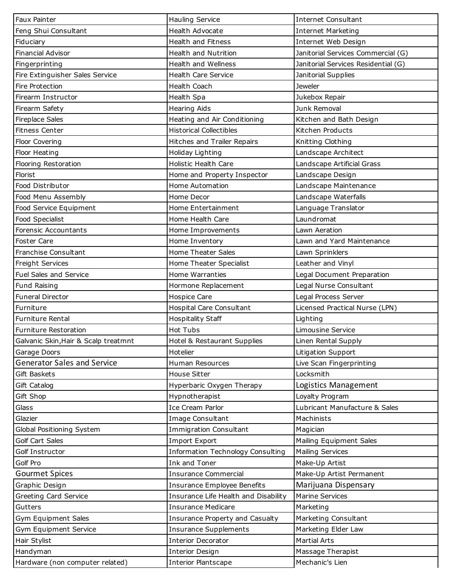| <b>Faux Painter</b>                  | Hauling Service                      | <b>Internet Consultant</b>          |  |
|--------------------------------------|--------------------------------------|-------------------------------------|--|
| Feng Shui Consultant                 | Health Advocate                      | <b>Internet Marketing</b>           |  |
| Fiduciary                            | Health and Fitness                   | Internet Web Design                 |  |
| <b>Financial Advisor</b>             | Health and Nutrition                 | Janitorial Services Commercial (G)  |  |
| Fingerprinting                       | Health and Wellness                  | Janitorial Services Residential (G) |  |
| Fire Extinguisher Sales Service      | <b>Health Care Service</b>           | Janitorial Supplies                 |  |
| Fire Protection                      | Health Coach                         | <b>Jeweler</b>                      |  |
| Firearm Instructor                   | Health Spa                           | Jukebox Repair                      |  |
| Firearm Safety                       | <b>Hearing Aids</b>                  | Junk Removal                        |  |
| <b>Fireplace Sales</b>               | Heating and Air Conditioning         | Kitchen and Bath Design             |  |
| Fitness Center                       | <b>Historical Collectibles</b>       | Kitchen Products                    |  |
| Floor Covering                       | Hitches and Trailer Repairs          | Knitting Clothing                   |  |
| Floor Heating                        | Holiday Lighting                     | Landscape Architect                 |  |
| Flooring Restoration                 | Holistic Health Care                 | Landscape Artificial Grass          |  |
| Florist                              | Home and Property Inspector          | Landscape Design                    |  |
| Food Distributor                     | Home Automation                      | Landscape Maintenance               |  |
| Food Menu Assembly                   | Home Decor                           | Landscape Waterfalls                |  |
| Food Service Equipment               | Home Entertainment                   | Language Translator                 |  |
| Food Specialist                      | Home Health Care                     | Laundromat                          |  |
| Forensic Accountants                 | Home Improvements                    | Lawn Aeration                       |  |
| <b>Foster Care</b>                   | Home Inventory                       | Lawn and Yard Maintenance           |  |
| Franchise Consultant                 | Home Theater Sales                   | Lawn Sprinklers                     |  |
| Freight Services                     | Home Theater Specialist              | Leather and Vinyl                   |  |
| <b>Fuel Sales and Service</b>        | Home Warranties                      | Legal Document Preparation          |  |
| Fund Raising                         | Hormone Replacement                  | Legal Nurse Consultant              |  |
| <b>Funeral Director</b>              | Hospice Care                         | Legal Process Server                |  |
| Furniture                            | <b>Hospital Care Consultant</b>      | Licensed Practical Nurse (LPN)      |  |
| <b>Furniture Rental</b>              | <b>Hospitality Staff</b>             | Lighting                            |  |
| Furniture Restoration                | <b>Hot Tubs</b>                      | Limousine Service                   |  |
| Galvanic Skin, Hair & Scalp treatmnt | Hotel & Restaurant Supplies          | Linen Rental Supply                 |  |
| Garage Doors                         | Hotelier                             | Litigation Support                  |  |
| <b>Generator Sales and Service</b>   | Human Resources                      | Live Scan Fingerprinting            |  |
| Gift Baskets                         | House Sitter                         | Locksmith                           |  |
| Gift Catalog                         | Hyperbaric Oxygen Therapy            | Logistics Management                |  |
| Gift Shop                            | Hypnotherapist                       | Loyalty Program                     |  |
| Glass                                | Ice Cream Parlor                     | Lubricant Manufacture & Sales       |  |
| Glazier                              | Image Consultant                     | Machinists                          |  |
| Global Positioning System            | <b>Immigration Consultant</b>        | Magician                            |  |
| Golf Cart Sales                      | Import Export                        | Mailing Equipment Sales             |  |
| Golf Instructor                      | Information Technology Consulting    | Mailing Services                    |  |
| Golf Pro                             | Ink and Toner                        | Make-Up Artist                      |  |
| <b>Gourmet Spices</b>                | <b>Insurance Commercial</b>          | Make-Up Artist Permanent            |  |
| Graphic Design                       | Insurance Employee Benefits          | Marijuana Dispensary                |  |
| Greeting Card Service                | Insurance Life Health and Disability | <b>Marine Services</b>              |  |
| Gutters                              | <b>Insurance Medicare</b>            | Marketing                           |  |
| Gym Equipment Sales                  | Insurance Property and Casualty      | Marketing Consultant                |  |
| Gym Equipment Service                | <b>Insurance Supplements</b>         | Marketing Elder Law                 |  |
| Hair Stylist                         | <b>Interior Decorator</b>            | <b>Martial Arts</b>                 |  |
| Handyman                             | <b>Interior Design</b>               | Massage Therapist                   |  |
| Hardware (non computer related)      | <b>Interior Plantscape</b>           | Mechanic's Lien                     |  |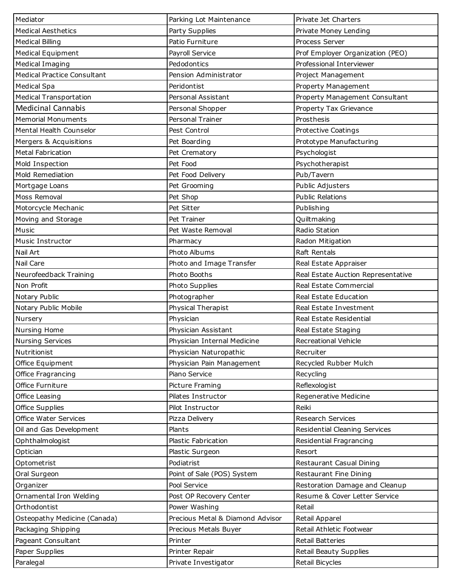| Mediator                           | Parking Lot Maintenance          | Private Jet Charters               |  |
|------------------------------------|----------------------------------|------------------------------------|--|
| <b>Medical Aesthetics</b>          | Party Supplies                   | Private Money Lending              |  |
| <b>Medical Billing</b>             | Patio Furniture                  | Process Server                     |  |
| <b>Medical Equipment</b>           | Payroll Service                  | Prof Employer Organization (PEO)   |  |
| Medical Imaging                    | Pedodontics                      | Professional Interviewer           |  |
| <b>Medical Practice Consultant</b> | Pension Administrator            | Project Management                 |  |
| Medical Spa                        | Peridontist                      | Property Management                |  |
| <b>Medical Transportation</b>      | Personal Assistant               | Property Management Consultant     |  |
| <b>Medicinal Cannabis</b>          | Personal Shopper                 | Property Tax Grievance             |  |
| <b>Memorial Monuments</b>          | Personal Trainer                 | Prosthesis                         |  |
| Mental Health Counselor            | Pest Control                     | Protective Coatings                |  |
| Mergers & Acquisitions             | Pet Boarding                     | Prototype Manufacturing            |  |
| Metal Fabrication                  | Pet Crematory                    | Psychologist                       |  |
| Mold Inspection                    | Pet Food                         | Psychotherapist                    |  |
| Mold Remediation                   | Pet Food Delivery                | Pub/Tavern                         |  |
| Mortgage Loans                     | Pet Grooming                     | Public Adjusters                   |  |
| Moss Removal                       | Pet Shop                         | <b>Public Relations</b>            |  |
| Motorcycle Mechanic                | Pet Sitter                       | Publishing                         |  |
| Moving and Storage                 | Pet Trainer                      | Quiltmaking                        |  |
| Music                              | Pet Waste Removal                | Radio Station                      |  |
| Music Instructor                   | Pharmacy                         | Radon Mitigation                   |  |
| Nail Art                           | Photo Albums                     | Raft Rentals                       |  |
| Nail Care                          | Photo and Image Transfer         | Real Estate Appraiser              |  |
| Neurofeedback Training             | Photo Booths                     | Real Estate Auction Representative |  |
| Non Profit                         | Photo Supplies                   | Real Estate Commercial             |  |
| Notary Public                      | Photographer                     | Real Estate Education              |  |
| Notary Public Mobile               | Physical Therapist               | Real Estate Investment             |  |
| Nursery                            | Physician                        | Real Estate Residential            |  |
| Nursing Home                       | Physician Assistant              | Real Estate Staging                |  |
| <b>Nursing Services</b>            | Physician Internal Medicine      | <b>Recreational Vehicle</b>        |  |
| Nutritionist                       | Physician Naturopathic           | Recruiter                          |  |
| Office Equipment                   | Physician Pain Management        | Recycled Rubber Mulch              |  |
| Office Fragrancing                 | Piano Service                    | Recycling                          |  |
| Office Furniture                   | Picture Framing                  | Reflexologist                      |  |
| Office Leasing                     | Pilates Instructor               | Regenerative Medicine              |  |
| Office Supplies                    | Pilot Instructor                 | Reiki                              |  |
| <b>Office Water Services</b>       | Pizza Delivery                   | Research Services                  |  |
| Oil and Gas Development            | Plants                           | Residential Cleaning Services      |  |
| Ophthalmologist                    | Plastic Fabrication              | Residential Fragrancing            |  |
| Optician                           | Plastic Surgeon                  | Resort                             |  |
| Optometrist                        | Podiatrist                       | Restaurant Casual Dining           |  |
| Oral Surgeon                       | Point of Sale (POS) System       | Restaurant Fine Dining             |  |
| Organizer                          | Pool Service                     | Restoration Damage and Cleanup     |  |
| Ornamental Iron Welding            | Post OP Recovery Center          | Resume & Cover Letter Service      |  |
| Orthodontist                       | Power Washing                    | Retail                             |  |
| Osteopathy Medicine (Canada)       | Precious Metal & Diamond Advisor | Retail Apparel                     |  |
| Packaging Shipping                 | Precious Metals Buyer            | Retail Athletic Footwear           |  |
| Pageant Consultant                 | Printer                          | <b>Retail Batteries</b>            |  |
| Paper Supplies                     | Printer Repair                   | Retail Beauty Supplies             |  |
| Paralegal                          | Private Investigator             | Retail Bicycles                    |  |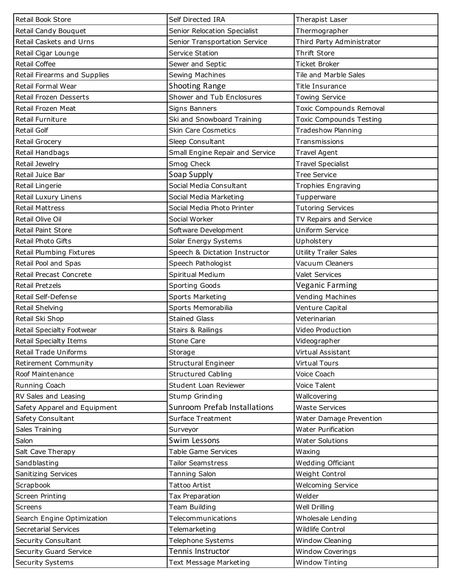| Retail Book Store             | Self Directed IRA               | Therapist Laser                |  |
|-------------------------------|---------------------------------|--------------------------------|--|
| Retail Candy Bouquet          | Senior Relocation Specialist    | Thermographer                  |  |
| Retail Caskets and Urns       | Senior Transportation Service   | Third Party Administrator      |  |
| Retail Cigar Lounge           | Service Station                 | Thrift Store                   |  |
| <b>Retail Coffee</b>          | Sewer and Septic                | <b>Ticket Broker</b>           |  |
| Retail Firearms and Supplies  | Sewing Machines                 | Tile and Marble Sales          |  |
| Retail Formal Wear            | Shooting Range                  | <b>Title Insurance</b>         |  |
| Retail Frozen Desserts        | Shower and Tub Enclosures       | <b>Towing Service</b>          |  |
| Retail Frozen Meat            | Signs Banners                   | Toxic Compounds Removal        |  |
| Retail Furniture              | Ski and Snowboard Training      | <b>Toxic Compounds Testing</b> |  |
| <b>Retail Golf</b>            | <b>Skin Care Cosmetics</b>      | <b>Tradeshow Planning</b>      |  |
| Retail Grocery                | Sleep Consultant                | Transmissions                  |  |
| Retail Handbags               | Small Engine Repair and Service | <b>Travel Agent</b>            |  |
| Retail Jewelry                | Smog Check                      | <b>Travel Specialist</b>       |  |
| Retail Juice Bar              | Soap Supply                     | <b>Tree Service</b>            |  |
| Retail Lingerie               | Social Media Consultant         | <b>Trophies Engraving</b>      |  |
| Retail Luxury Linens          | Social Media Marketing          | Tupperware                     |  |
| <b>Retail Mattress</b>        | Social Media Photo Printer      | <b>Tutoring Services</b>       |  |
| Retail Olive Oil              | Social Worker                   | TV Repairs and Service         |  |
| Retail Paint Store            | Software Development            | Uniform Service                |  |
| Retail Photo Gifts            | Solar Energy Systems            | Upholstery                     |  |
| Retail Plumbing Fixtures      | Speech & Dictation Instructor   | <b>Utility Trailer Sales</b>   |  |
| Retail Pool and Spas          | Speech Pathologist              | Vacuum Cleaners                |  |
| Retail Precast Concrete       | Spiritual Medium                | <b>Valet Services</b>          |  |
| <b>Retail Pretzels</b>        | Sporting Goods                  | <b>Veganic Farming</b>         |  |
| Retail Self-Defense           | Sports Marketing                | Vending Machines               |  |
| Retail Shelving               | Sports Memorabilia              | Venture Capital                |  |
| Retail Ski Shop               | <b>Stained Glass</b>            | Veterinarian                   |  |
| Retail Specialty Footwear     | Stairs & Railings               | Video Production               |  |
| <b>Retail Specialty Items</b> | Stone Care                      | Videographer                   |  |
| <b>Retail Trade Uniforms</b>  | Storage                         | Virtual Assistant              |  |
| Retirement Community          | <b>Structural Engineer</b>      | <b>Virtual Tours</b>           |  |
| Roof Maintenance              | <b>Structured Cabling</b>       | Voice Coach                    |  |
| Running Coach                 | Student Loan Reviewer           | Voice Talent                   |  |
| RV Sales and Leasing          | Stump Grinding                  | Wallcovering                   |  |
| Safety Apparel and Equipment  | Sunroom Prefab Installations    | <b>Waste Services</b>          |  |
| Safety Consultant             | <b>Surface Treatment</b>        | Water Damage Prevention        |  |
| Sales Training                | Surveyor                        | <b>Water Purification</b>      |  |
| Salon                         | Swim Lessons                    | <b>Water Solutions</b>         |  |
| Salt Cave Therapy             | Table Game Services             | Waxing                         |  |
| Sandblasting                  | <b>Tailor Seamstress</b>        | Wedding Officiant              |  |
| Sanitizing Services           | Tanning Salon                   | Weight Control                 |  |
| Scrapbook                     | <b>Tattoo Artist</b>            | <b>Welcoming Service</b>       |  |
| Screen Printing               | Tax Preparation                 | Welder                         |  |
| Screens                       | Team Building                   | Well Drilling                  |  |
| Search Engine Optimization    | Telecommunications              | Wholesale Lending              |  |
| <b>Secretarial Services</b>   | Telemarketing                   | Wildlife Control               |  |
| Security Consultant           | Telephone Systems               | Window Cleaning                |  |
| Security Guard Service        | Tennis Instructor               | <b>Window Coverings</b>        |  |
| Security Systems              | Text Message Marketing          | <b>Window Tinting</b>          |  |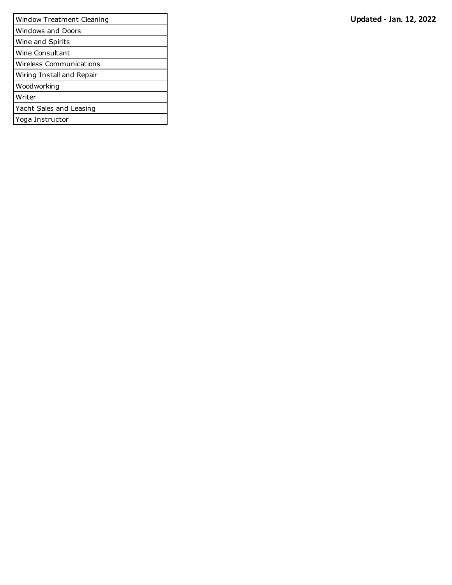| <b>Updated - Jan. 12, 2022</b> |  |  |  |
|--------------------------------|--|--|--|
|--------------------------------|--|--|--|

| Window Treatment Cleaning | <b>Updated - Jan. 12, 2022</b> |
|---------------------------|--------------------------------|
| <b>Windows and Doors</b>  |                                |
| Wine and Spirits          |                                |
| Wine Consultant           |                                |
| Wireless Communications   |                                |
| Wiring Install and Repair |                                |
| Woodworking               |                                |
| Writer                    |                                |
| Yacht Sales and Leasing   |                                |
| Yoga Instructor           |                                |